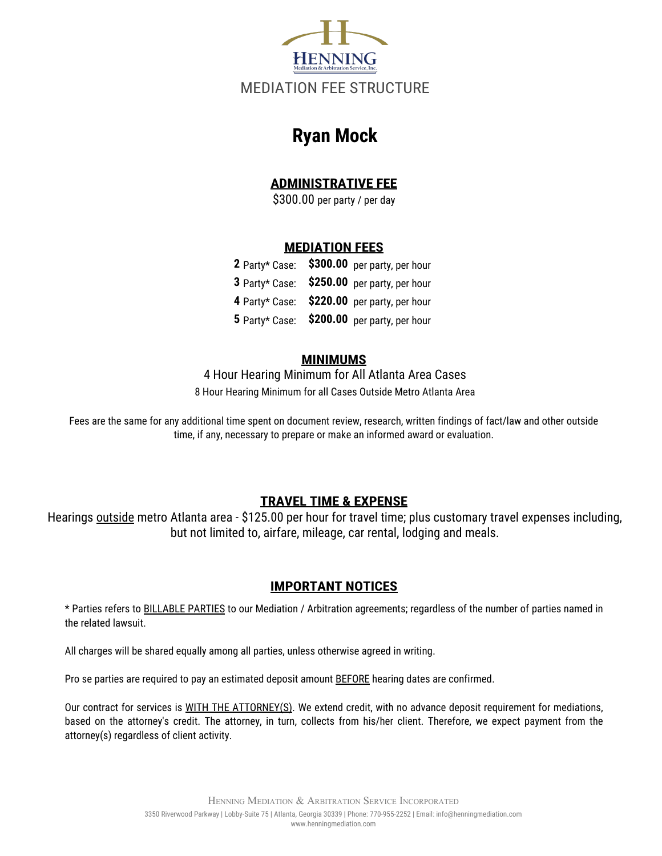

# **Ryan Mock**

# **ADMINISTRATIVE FEE**

\$300.00 per party / per day

# **MEDIATION FEES**

|  | 2 Party* Case: \$300.00 per party, per hour |
|--|---------------------------------------------|
|  | 3 Party* Case: \$250.00 per party, per hour |
|  | 4 Party* Case: \$220.00 per party, per hour |
|  | 5 Party* Case: \$200.00 per party, per hour |

#### **MINIMUMS**

8 Hour Hearing Minimum for all Cases Outside Metro Atlanta Area 4 Hour Hearing Minimum for All Atlanta Area Cases

Fees are the same for any additional time spent on document review, research, written findings of fact/law and other outside time, if any, necessary to prepare or make an informed award or evaluation.

# **TRAVEL TIME & EXPENSE**

Hearings outside metro Atlanta area - \$125.00 per hour for travel time; plus customary travel expenses including, but not limited to, airfare, mileage, car rental, lodging and meals.

# **IMPORTANT NOTICES**

\* Parties refers to BILLABLE PARTIES to our Mediation / Arbitration agreements; regardless of the number of parties named in the related lawsuit.

All charges will be shared equally among all parties, unless otherwise agreed in writing.

Pro se parties are required to pay an estimated deposit amount **BEFORE** hearing dates are confirmed.

Our contract for services is WITH THE ATTORNEY(S). We extend credit, with no advance deposit requirement for mediations, based on the attorney's credit. The attorney, in turn, collects from his/her client. Therefore, we expect payment from the attorney(s) regardless of client activity.